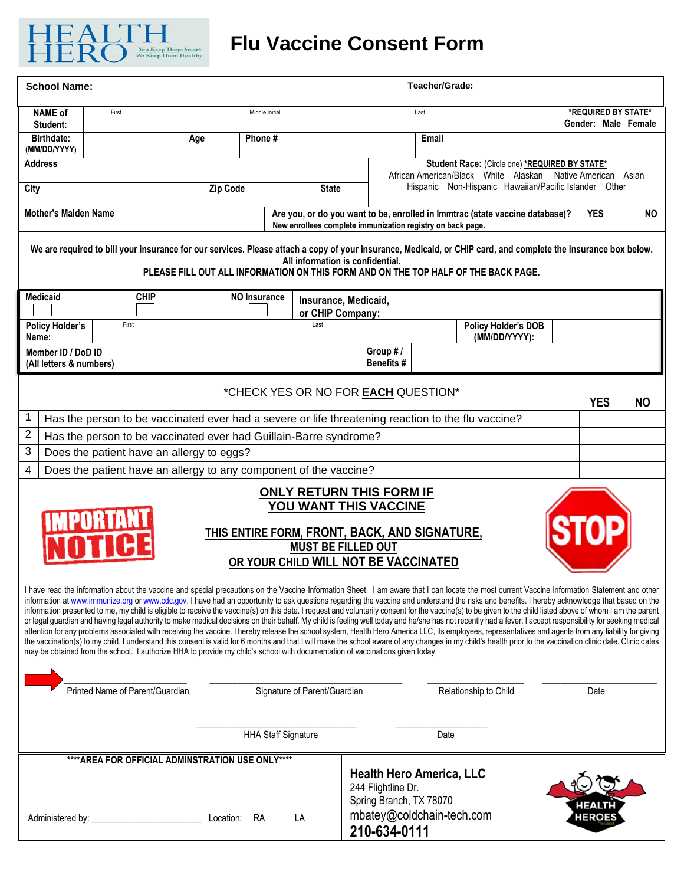

## **Flu Vaccine Consent Form**

| Teacher/Grade:<br><b>School Name:</b>                                                                                                                                                                                                                                                                                                                                                                                                                                                                                                                                                                                                                                                                                                                                                                                                                                                                                                                                                                                                                                                                                                                                                                                                                                                                                                                                                     |                                                                   |                                                   |           |                     |      |                                                                                                              |      |                                                                                                                               |                     |       |                                                                                                    |  |            |           |
|-------------------------------------------------------------------------------------------------------------------------------------------------------------------------------------------------------------------------------------------------------------------------------------------------------------------------------------------------------------------------------------------------------------------------------------------------------------------------------------------------------------------------------------------------------------------------------------------------------------------------------------------------------------------------------------------------------------------------------------------------------------------------------------------------------------------------------------------------------------------------------------------------------------------------------------------------------------------------------------------------------------------------------------------------------------------------------------------------------------------------------------------------------------------------------------------------------------------------------------------------------------------------------------------------------------------------------------------------------------------------------------------|-------------------------------------------------------------------|---------------------------------------------------|-----------|---------------------|------|--------------------------------------------------------------------------------------------------------------|------|-------------------------------------------------------------------------------------------------------------------------------|---------------------|-------|----------------------------------------------------------------------------------------------------|--|------------|-----------|
| <b>NAME of</b>                                                                                                                                                                                                                                                                                                                                                                                                                                                                                                                                                                                                                                                                                                                                                                                                                                                                                                                                                                                                                                                                                                                                                                                                                                                                                                                                                                            | First<br>Middle Initial                                           |                                                   |           |                     | Last |                                                                                                              |      |                                                                                                                               | *REQUIRED BY STATE* |       |                                                                                                    |  |            |           |
| Student:                                                                                                                                                                                                                                                                                                                                                                                                                                                                                                                                                                                                                                                                                                                                                                                                                                                                                                                                                                                                                                                                                                                                                                                                                                                                                                                                                                                  |                                                                   |                                                   |           |                     |      |                                                                                                              |      |                                                                                                                               |                     |       | Gender: Male Female                                                                                |  |            |           |
| <b>Birthdate:</b><br>(MM/DD/YYYY)                                                                                                                                                                                                                                                                                                                                                                                                                                                                                                                                                                                                                                                                                                                                                                                                                                                                                                                                                                                                                                                                                                                                                                                                                                                                                                                                                         |                                                                   |                                                   | Age       | Phone#              |      |                                                                                                              |      |                                                                                                                               |                     | Email |                                                                                                    |  |            |           |
| <b>Address</b>                                                                                                                                                                                                                                                                                                                                                                                                                                                                                                                                                                                                                                                                                                                                                                                                                                                                                                                                                                                                                                                                                                                                                                                                                                                                                                                                                                            |                                                                   |                                                   |           |                     |      | Student Race: (Circle one) *REQUIRED BY STATE*<br>African American/Black White Alaskan Native American Asian |      |                                                                                                                               |                     |       |                                                                                                    |  |            |           |
| Hispanic Non-Hispanic Hawaiian/Pacific Islander Other<br>Zip Code<br><b>State</b><br>City                                                                                                                                                                                                                                                                                                                                                                                                                                                                                                                                                                                                                                                                                                                                                                                                                                                                                                                                                                                                                                                                                                                                                                                                                                                                                                 |                                                                   |                                                   |           |                     |      |                                                                                                              |      |                                                                                                                               |                     |       |                                                                                                    |  |            |           |
|                                                                                                                                                                                                                                                                                                                                                                                                                                                                                                                                                                                                                                                                                                                                                                                                                                                                                                                                                                                                                                                                                                                                                                                                                                                                                                                                                                                           | <b>Mother's Maiden Name</b>                                       |                                                   |           |                     |      |                                                                                                              |      |                                                                                                                               |                     |       | Are you, or do you want to be, enrolled in Immtrac (state vaccine database)?                       |  | <b>YES</b> | <b>NO</b> |
| New enrollees complete immunization registry on back page.<br>We are required to bill your insurance for our services. Please attach a copy of your insurance, Medicaid, or CHIP card, and complete the insurance box below.<br>All information is confidential.<br>PLEASE FILL OUT ALL INFORMATION ON THIS FORM AND ON THE TOP HALF OF THE BACK PAGE.                                                                                                                                                                                                                                                                                                                                                                                                                                                                                                                                                                                                                                                                                                                                                                                                                                                                                                                                                                                                                                    |                                                                   |                                                   |           |                     |      |                                                                                                              |      |                                                                                                                               |                     |       |                                                                                                    |  |            |           |
| <b>Medicaid</b>                                                                                                                                                                                                                                                                                                                                                                                                                                                                                                                                                                                                                                                                                                                                                                                                                                                                                                                                                                                                                                                                                                                                                                                                                                                                                                                                                                           |                                                                   | <b>CHIP</b>                                       |           | <b>NO Insurance</b> |      | Insurance, Medicaid,<br>or CHIP Company:                                                                     |      |                                                                                                                               |                     |       |                                                                                                    |  |            |           |
| Policy Holder's<br>Name:                                                                                                                                                                                                                                                                                                                                                                                                                                                                                                                                                                                                                                                                                                                                                                                                                                                                                                                                                                                                                                                                                                                                                                                                                                                                                                                                                                  |                                                                   | First                                             |           |                     |      | Last                                                                                                         |      |                                                                                                                               |                     |       | Policy Holder's DOB<br>(MM/DD/YYYY):                                                               |  |            |           |
| Member ID / DoD ID                                                                                                                                                                                                                                                                                                                                                                                                                                                                                                                                                                                                                                                                                                                                                                                                                                                                                                                                                                                                                                                                                                                                                                                                                                                                                                                                                                        | (All letters & numbers)                                           |                                                   |           |                     |      |                                                                                                              |      | Group #/<br>Benefits #                                                                                                        |                     |       |                                                                                                    |  |            |           |
|                                                                                                                                                                                                                                                                                                                                                                                                                                                                                                                                                                                                                                                                                                                                                                                                                                                                                                                                                                                                                                                                                                                                                                                                                                                                                                                                                                                           |                                                                   |                                                   |           |                     |      |                                                                                                              |      |                                                                                                                               |                     |       |                                                                                                    |  |            |           |
|                                                                                                                                                                                                                                                                                                                                                                                                                                                                                                                                                                                                                                                                                                                                                                                                                                                                                                                                                                                                                                                                                                                                                                                                                                                                                                                                                                                           |                                                                   |                                                   |           |                     |      | *CHECK YES OR NO FOR <b>EACH</b> QUESTION*                                                                   |      |                                                                                                                               |                     |       |                                                                                                    |  | <b>YES</b> | <b>NO</b> |
| 1                                                                                                                                                                                                                                                                                                                                                                                                                                                                                                                                                                                                                                                                                                                                                                                                                                                                                                                                                                                                                                                                                                                                                                                                                                                                                                                                                                                         |                                                                   |                                                   |           |                     |      |                                                                                                              |      |                                                                                                                               |                     |       | Has the person to be vaccinated ever had a severe or life threatening reaction to the flu vaccine? |  |            |           |
| 2                                                                                                                                                                                                                                                                                                                                                                                                                                                                                                                                                                                                                                                                                                                                                                                                                                                                                                                                                                                                                                                                                                                                                                                                                                                                                                                                                                                         | Has the person to be vaccinated ever had Guillain-Barre syndrome? |                                                   |           |                     |      |                                                                                                              |      |                                                                                                                               |                     |       |                                                                                                    |  |            |           |
| 3                                                                                                                                                                                                                                                                                                                                                                                                                                                                                                                                                                                                                                                                                                                                                                                                                                                                                                                                                                                                                                                                                                                                                                                                                                                                                                                                                                                         |                                                                   | Does the patient have an allergy to eggs?         |           |                     |      |                                                                                                              |      |                                                                                                                               |                     |       |                                                                                                    |  |            |           |
| 4                                                                                                                                                                                                                                                                                                                                                                                                                                                                                                                                                                                                                                                                                                                                                                                                                                                                                                                                                                                                                                                                                                                                                                                                                                                                                                                                                                                         | Does the patient have an allergy to any component of the vaccine? |                                                   |           |                     |      |                                                                                                              |      |                                                                                                                               |                     |       |                                                                                                    |  |            |           |
|                                                                                                                                                                                                                                                                                                                                                                                                                                                                                                                                                                                                                                                                                                                                                                                                                                                                                                                                                                                                                                                                                                                                                                                                                                                                                                                                                                                           |                                                                   |                                                   |           |                     |      |                                                                                                              |      |                                                                                                                               |                     |       |                                                                                                    |  |            |           |
| <b>ONLY RETURN THIS FORM IF</b><br><b>YOU WANT THIS VACCINE</b><br>THIS ENTIRE FORM, FRONT, BACK, AND SIGNATURE,<br><b>MUST BE FILLED OUT</b><br>OR YOUR CHILD WILL NOT BE VACCINATED                                                                                                                                                                                                                                                                                                                                                                                                                                                                                                                                                                                                                                                                                                                                                                                                                                                                                                                                                                                                                                                                                                                                                                                                     |                                                                   |                                                   |           |                     |      |                                                                                                              |      |                                                                                                                               |                     |       |                                                                                                    |  |            |           |
| I have read the information about the vaccine and special precautions on the Vaccine Information Sheet. I am aware that I can locate the most current Vaccine Information Statement and other<br>information at www.immunize.org or www.cdc.gov. I have had an opportunity to ask questions regarding the vaccine and understand the risks and benefits. I hereby acknowledge that based on the<br>information presented to me, my child is eligible to receive the vaccine(s) on this date. I request and voluntarily consent for the vaccine(s) to be given to the child listed above of whom I am the parent<br>or legal guardian and having legal authority to make medical decisions on their behalf. My child is feeling well today and he/she has not recently had a fever. I accept responsibility for seeking medical<br>attention for any problems associated with receiving the vaccine. I hereby release the school system, Health Hero America LLC, its employees, representatives and agents from any liability for giving<br>the vaccination(s) to my child. I understand this consent is valid for 6 months and that I will make the school aware of any changes in my child's health prior to the vaccination clinic date. Clinic dates<br>may be obtained from the school. I authorize HHA to provide my child's school with documentation of vaccinations given today. |                                                                   |                                                   |           |                     |      |                                                                                                              |      |                                                                                                                               |                     |       |                                                                                                    |  |            |           |
| Printed Name of Parent/Guardian<br>Signature of Parent/Guardian<br>Relationship to Child                                                                                                                                                                                                                                                                                                                                                                                                                                                                                                                                                                                                                                                                                                                                                                                                                                                                                                                                                                                                                                                                                                                                                                                                                                                                                                  |                                                                   |                                                   |           |                     |      |                                                                                                              | Date |                                                                                                                               |                     |       |                                                                                                    |  |            |           |
| <b>HHA Staff Signature</b><br>Date                                                                                                                                                                                                                                                                                                                                                                                                                                                                                                                                                                                                                                                                                                                                                                                                                                                                                                                                                                                                                                                                                                                                                                                                                                                                                                                                                        |                                                                   |                                                   |           |                     |      |                                                                                                              |      |                                                                                                                               |                     |       |                                                                                                    |  |            |           |
|                                                                                                                                                                                                                                                                                                                                                                                                                                                                                                                                                                                                                                                                                                                                                                                                                                                                                                                                                                                                                                                                                                                                                                                                                                                                                                                                                                                           |                                                                   | **** AREA FOR OFFICIAL ADMINSTRATION USE ONLY**** |           |                     |      |                                                                                                              |      |                                                                                                                               |                     |       |                                                                                                    |  |            |           |
|                                                                                                                                                                                                                                                                                                                                                                                                                                                                                                                                                                                                                                                                                                                                                                                                                                                                                                                                                                                                                                                                                                                                                                                                                                                                                                                                                                                           |                                                                   | Administered by: _____________________________    | Location: | RA                  |      | LA                                                                                                           |      | <b>Health Hero America, LLC</b><br>244 Flightline Dr.<br>Spring Branch, TX 78070<br>mbatey@coldchain-tech.com<br>210-634-0111 |                     |       |                                                                                                    |  |            |           |